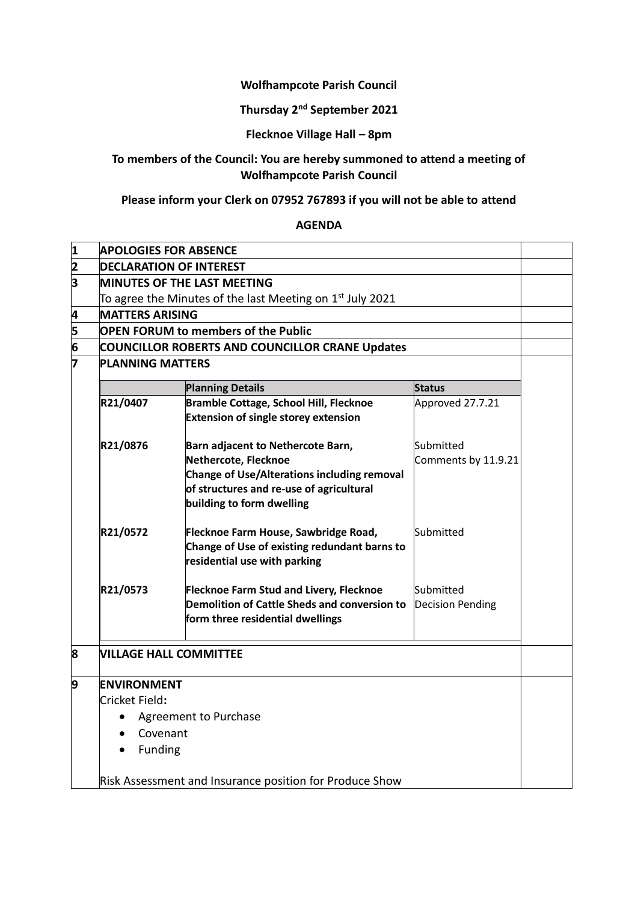### **Wolfhampcote Parish Council**

### **Thursday 2 nd September 2021**

### **Flecknoe Village Hall – 8pm**

# **To members of the Council: You are hereby summoned to attend a meeting of Wolfhampcote Parish Council**

## **Please inform your Clerk on 07952 767893 if you will not be able to attend**

### **AGENDA**

| 1                       | <b>APOLOGIES FOR ABSENCE</b>                                          |                                                                                                                             |                                       |  |  |
|-------------------------|-----------------------------------------------------------------------|-----------------------------------------------------------------------------------------------------------------------------|---------------------------------------|--|--|
| 2                       | <b>DECLARATION OF INTEREST</b>                                        |                                                                                                                             |                                       |  |  |
| 3                       | <b>MINUTES OF THE LAST MEETING</b>                                    |                                                                                                                             |                                       |  |  |
|                         | To agree the Minutes of the last Meeting on 1 <sup>st</sup> July 2021 |                                                                                                                             |                                       |  |  |
| 4                       | <b>MATTERS ARISING</b>                                                |                                                                                                                             |                                       |  |  |
| 5                       | <b>OPEN FORUM to members of the Public</b>                            |                                                                                                                             |                                       |  |  |
| $\overline{\mathbf{6}}$ | COUNCILLOR ROBERTS AND COUNCILLOR CRANE Updates                       |                                                                                                                             |                                       |  |  |
| 7                       | <b>PLANNING MATTERS</b>                                               |                                                                                                                             |                                       |  |  |
|                         |                                                                       | <b>Planning Details</b>                                                                                                     | <b>Status</b>                         |  |  |
|                         | R21/0407                                                              | <b>Bramble Cottage, School Hill, Flecknoe</b><br><b>Extension of single storey extension</b>                                | Approved 27.7.21                      |  |  |
|                         | R21/0876                                                              | Barn adjacent to Nethercote Barn,                                                                                           | Submitted                             |  |  |
|                         |                                                                       | Nethercote, Flecknoe                                                                                                        | Comments by 11.9.21                   |  |  |
|                         |                                                                       | Change of Use/Alterations including removal                                                                                 |                                       |  |  |
|                         |                                                                       | of structures and re-use of agricultural                                                                                    |                                       |  |  |
|                         |                                                                       | building to form dwelling                                                                                                   |                                       |  |  |
|                         | R21/0572                                                              | Flecknoe Farm House, Sawbridge Road,<br>Change of Use of existing redundant barns to<br>residential use with parking        | Submitted                             |  |  |
|                         | R21/0573                                                              | Flecknoe Farm Stud and Livery, Flecknoe<br>Demolition of Cattle Sheds and conversion to<br>form three residential dwellings | lSubmitted<br><b>Decision Pending</b> |  |  |
| 8                       | <b>VILLAGE HALL COMMITTEE</b>                                         |                                                                                                                             |                                       |  |  |
| 9                       | <b>ENVIRONMENT</b>                                                    |                                                                                                                             |                                       |  |  |
|                         | Cricket Field:                                                        |                                                                                                                             |                                       |  |  |
|                         | <b>Agreement to Purchase</b><br>Covenant                              |                                                                                                                             |                                       |  |  |
|                         |                                                                       |                                                                                                                             |                                       |  |  |
|                         | Funding                                                               |                                                                                                                             |                                       |  |  |
|                         |                                                                       |                                                                                                                             |                                       |  |  |
|                         | Risk Assessment and Insurance position for Produce Show               |                                                                                                                             |                                       |  |  |